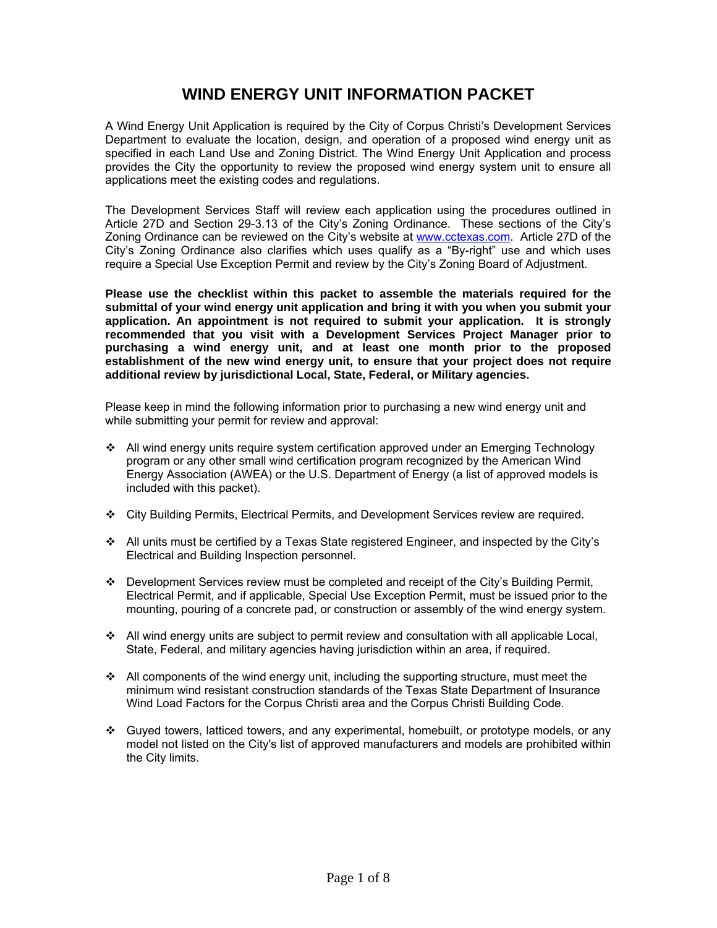## **WIND ENERGY UNIT INFORMATION PACKET**

A Wind Energy Unit Application is required by the City of Corpus Christi's Development Services Department to evaluate the location, design, and operation of a proposed wind energy unit as specified in each Land Use and Zoning District. The Wind Energy Unit Application and process provides the City the opportunity to review the proposed wind energy system unit to ensure all applications meet the existing codes and regulations.

The Development Services Staff will review each application using the procedures outlined in Article 27D and Section 29-3.13 of the City's Zoning Ordinance. These sections of the City's Zoning Ordinance can be reviewed on the City's website at www.cctexas.com. Article 27D of the City's Zoning Ordinance also clarifies which uses qualify as a "By-right" use and which uses require a Special Use Exception Permit and review by the City's Zoning Board of Adjustment.

**Please use the checklist within this packet to assemble the materials required for the submittal of your wind energy unit application and bring it with you when you submit your application. An appointment is not required to submit your application. It is strongly recommended that you visit with a Development Services Project Manager prior to purchasing a wind energy unit, and at least one month prior to the proposed establishment of the new wind energy unit, to ensure that your project does not require additional review by jurisdictional Local, State, Federal, or Military agencies.**

Please keep in mind the following information prior to purchasing a new wind energy unit and while submitting your permit for review and approval:

- All wind energy units require system certification approved under an Emerging Technology program or any other small wind certification program recognized by the American Wind Energy Association (AWEA) or the U.S. Department of Energy (a list of approved models is included with this packet).
- City Building Permits, Electrical Permits, and Development Services review are required.
- All units must be certified by a Texas State registered Engineer, and inspected by the City's Electrical and Building Inspection personnel.
- Development Services review must be completed and receipt of the City's Building Permit, Electrical Permit, and if applicable, Special Use Exception Permit, must be issued prior to the mounting, pouring of a concrete pad, or construction or assembly of the wind energy system.
- All wind energy units are subject to permit review and consultation with all applicable Local, State, Federal, and military agencies having jurisdiction within an area, if required.
- $\div$  All components of the wind energy unit, including the supporting structure, must meet the minimum wind resistant construction standards of the Texas State Department of Insurance Wind Load Factors for the Corpus Christi area and the Corpus Christi Building Code.
- Guyed towers, latticed towers, and any experimental, homebuilt, or prototype models, or any model not listed on the City's list of approved manufacturers and models are prohibited within the City limits.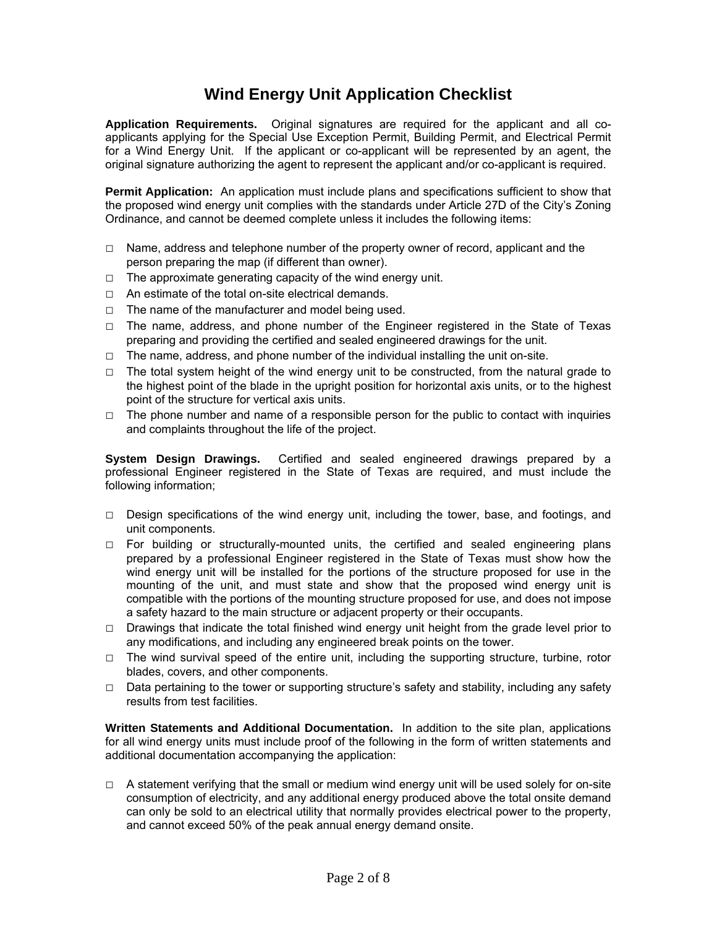# **Wind Energy Unit Application Checklist**

**Application Requirements.** Original signatures are required for the applicant and all coapplicants applying for the Special Use Exception Permit, Building Permit, and Electrical Permit for a Wind Energy Unit. If the applicant or co-applicant will be represented by an agent, the original signature authorizing the agent to represent the applicant and/or co-applicant is required.

**Permit Application:** An application must include plans and specifications sufficient to show that the proposed wind energy unit complies with the standards under Article 27D of the City's Zoning Ordinance, and cannot be deemed complete unless it includes the following items:

- $\Box$  Name, address and telephone number of the property owner of record, applicant and the person preparing the map (if different than owner).
- $\Box$  The approximate generating capacity of the wind energy unit.
- □ An estimate of the total on-site electrical demands.
- $\Box$  The name of the manufacturer and model being used.
- □ The name, address, and phone number of the Engineer registered in the State of Texas preparing and providing the certified and sealed engineered drawings for the unit.
- $\Box$  The name, address, and phone number of the individual installing the unit on-site.
- $\Box$  The total system height of the wind energy unit to be constructed, from the natural grade to the highest point of the blade in the upright position for horizontal axis units, or to the highest point of the structure for vertical axis units.
- $\Box$  The phone number and name of a responsible person for the public to contact with inquiries and complaints throughout the life of the project.

**System Design Drawings.** Certified and sealed engineered drawings prepared by a professional Engineer registered in the State of Texas are required, and must include the following information;

- $\Box$  Design specifications of the wind energy unit, including the tower, base, and footings, and unit components.
- $\Box$  For building or structurally-mounted units, the certified and sealed engineering plans prepared by a professional Engineer registered in the State of Texas must show how the wind energy unit will be installed for the portions of the structure proposed for use in the mounting of the unit, and must state and show that the proposed wind energy unit is compatible with the portions of the mounting structure proposed for use, and does not impose a safety hazard to the main structure or adjacent property or their occupants.
- □ Drawings that indicate the total finished wind energy unit height from the grade level prior to any modifications, and including any engineered break points on the tower.
- $\Box$  The wind survival speed of the entire unit, including the supporting structure, turbine, rotor blades, covers, and other components.
- $\Box$  Data pertaining to the tower or supporting structure's safety and stability, including any safety results from test facilities.

**Written Statements and Additional Documentation.** In addition to the site plan, applications for all wind energy units must include proof of the following in the form of written statements and additional documentation accompanying the application:

□ A statement verifying that the small or medium wind energy unit will be used solely for on-site consumption of electricity, and any additional energy produced above the total onsite demand can only be sold to an electrical utility that normally provides electrical power to the property, and cannot exceed 50% of the peak annual energy demand onsite.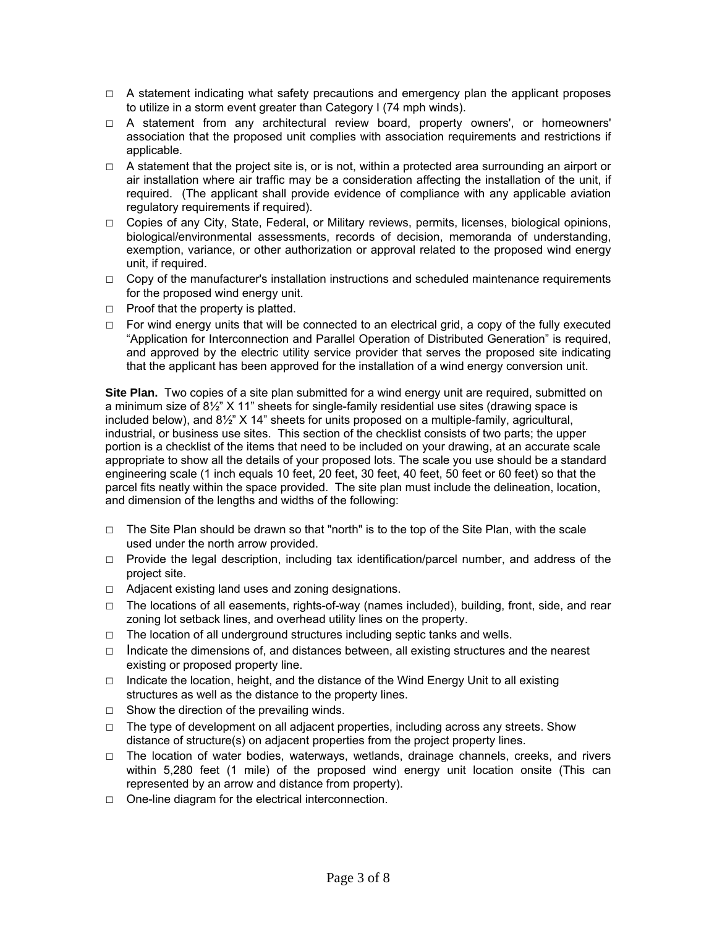- □ A statement indicating what safety precautions and emergency plan the applicant proposes to utilize in a storm event greater than Category I (74 mph winds).
- □ A statement from any architectural review board, property owners', or homeowners' association that the proposed unit complies with association requirements and restrictions if applicable.
- $\Box$  A statement that the project site is, or is not, within a protected area surrounding an airport or air installation where air traffic may be a consideration affecting the installation of the unit, if required. (The applicant shall provide evidence of compliance with any applicable aviation regulatory requirements if required).
- □ Copies of any City, State, Federal, or Military reviews, permits, licenses, biological opinions, biological/environmental assessments, records of decision, memoranda of understanding, exemption, variance, or other authorization or approval related to the proposed wind energy unit, if required.
- $\Box$  Copy of the manufacturer's installation instructions and scheduled maintenance requirements for the proposed wind energy unit.
- $\Box$  Proof that the property is platted.
- $\Box$  For wind energy units that will be connected to an electrical grid, a copy of the fully executed "Application for Interconnection and Parallel Operation of Distributed Generation" is required, and approved by the electric utility service provider that serves the proposed site indicating that the applicant has been approved for the installation of a wind energy conversion unit.

**Site Plan.** Two copies of a site plan submitted for a wind energy unit are required, submitted on a minimum size of 8½" X 11" sheets for single-family residential use sites (drawing space is included below), and 8½" X 14" sheets for units proposed on a multiple-family, agricultural, industrial, or business use sites. This section of the checklist consists of two parts; the upper portion is a checklist of the items that need to be included on your drawing, at an accurate scale appropriate to show all the details of your proposed lots. The scale you use should be a standard engineering scale (1 inch equals 10 feet, 20 feet, 30 feet, 40 feet, 50 feet or 60 feet) so that the parcel fits neatly within the space provided. The site plan must include the delineation, location, and dimension of the lengths and widths of the following:

- $\Box$  The Site Plan should be drawn so that "north" is to the top of the Site Plan, with the scale used under the north arrow provided.
- $\Box$  Provide the legal description, including tax identification/parcel number, and address of the project site.
- □ Adjacent existing land uses and zoning designations.
- □ The locations of all easements, rights-of-way (names included), building, front, side, and rear zoning lot setback lines, and overhead utility lines on the property.
- $\Box$  The location of all underground structures including septic tanks and wells.
- □ Indicate the dimensions of, and distances between, all existing structures and the nearest existing or proposed property line.
- $\Box$  Indicate the location, height, and the distance of the Wind Energy Unit to all existing structures as well as the distance to the property lines.
- $\Box$  Show the direction of the prevailing winds.
- $\Box$  The type of development on all adjacent properties, including across any streets. Show distance of structure(s) on adjacent properties from the project property lines.
- □ The location of water bodies, waterways, wetlands, drainage channels, creeks, and rivers within 5,280 feet (1 mile) of the proposed wind energy unit location onsite (This can represented by an arrow and distance from property).
- □ One-line diagram for the electrical interconnection.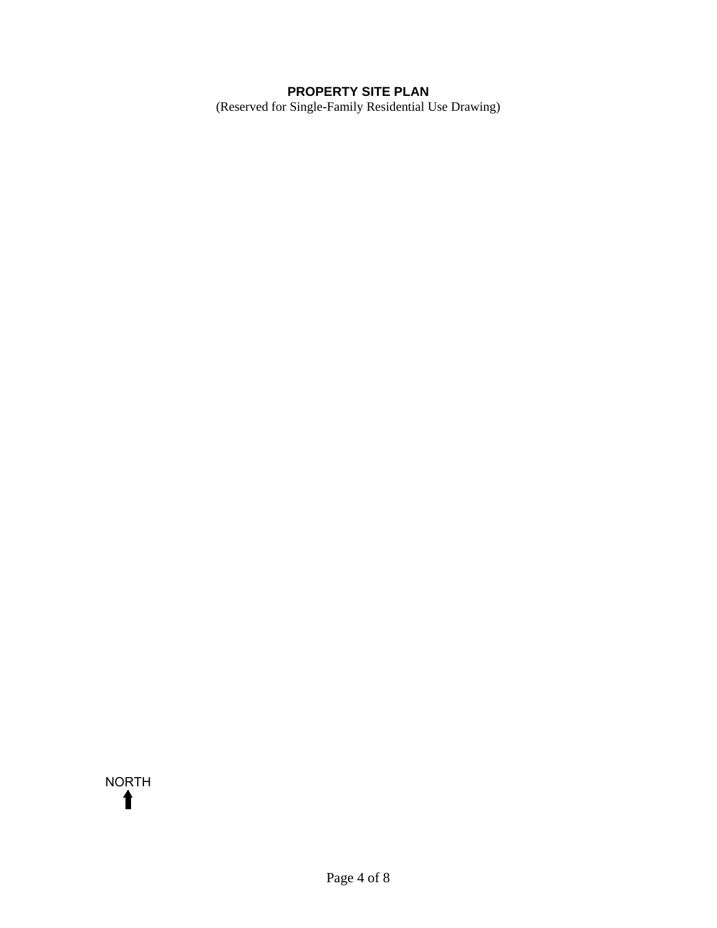## **PROPERTY SITE PLAN**

(Reserved for Single-Family Residential Use Drawing)

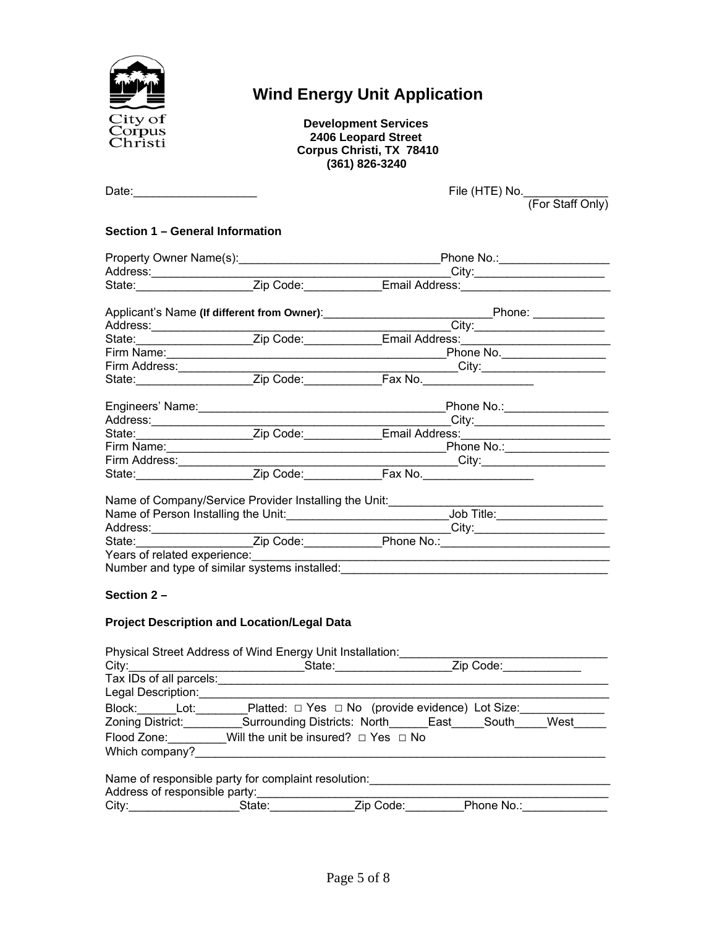

# **Wind Energy Unit Application**

 **Development Services 2406 Leopard Street Corpus Christi, TX 78410 (361) 826-3240** 

| Date: | File (HTE) No. |
|-------|----------------|
|       |                |

(For Staff Only)

#### **Section 1 – General Information**

|            |                                                       | Address: City: Code: City: Content City: Code: City: Code: City: Code: City: Code: City: Code: City: Code: City: Code: City: Code: City: Code: City: Code: City: Code: City: City: Code: City: City: City: City: City: City: C |  |
|------------|-------------------------------------------------------|--------------------------------------------------------------------------------------------------------------------------------------------------------------------------------------------------------------------------------|--|
|            |                                                       |                                                                                                                                                                                                                                |  |
|            |                                                       |                                                                                                                                                                                                                                |  |
|            |                                                       |                                                                                                                                                                                                                                |  |
|            |                                                       |                                                                                                                                                                                                                                |  |
|            |                                                       |                                                                                                                                                                                                                                |  |
|            |                                                       |                                                                                                                                                                                                                                |  |
|            |                                                       |                                                                                                                                                                                                                                |  |
|            |                                                       |                                                                                                                                                                                                                                |  |
|            |                                                       |                                                                                                                                                                                                                                |  |
|            |                                                       | Firm Name: Phone No.: Phone No.:                                                                                                                                                                                               |  |
|            |                                                       |                                                                                                                                                                                                                                |  |
|            |                                                       |                                                                                                                                                                                                                                |  |
|            | Name of Company/Service Provider Installing the Unit: |                                                                                                                                                                                                                                |  |
|            |                                                       | Name of Person Installing the Unit:__________________________________Job Title:_____________________                                                                                                                           |  |
|            |                                                       | City:                                                                                                                                                                                                                          |  |
|            |                                                       |                                                                                                                                                                                                                                |  |
|            |                                                       | Years of related experience:                                                                                                                                                                                                   |  |
|            |                                                       | Number and type of similar systems installed: Number and type of similar systems installed:                                                                                                                                    |  |
|            |                                                       |                                                                                                                                                                                                                                |  |
| Section 2- |                                                       |                                                                                                                                                                                                                                |  |
|            | <b>Drainet Departments and Legation Lagel Deta</b>    |                                                                                                                                                                                                                                |  |

#### **Project Description and Location/Legal Data**

|                                                            | Physical Street Address of Wind Energy Unit Installation:                    |  |           |      |
|------------------------------------------------------------|------------------------------------------------------------------------------|--|-----------|------|
| City:                                                      |                                                                              |  | Zip Code: |      |
| Tax IDs of all parcels:                                    |                                                                              |  |           |      |
| Legal Description:                                         |                                                                              |  |           |      |
|                                                            | Block: Lot: Platted: $\square$ Yes $\square$ No (provide evidence) Lot Size: |  |           |      |
| Zoning District:                                           | Surrounding Districts: North______East_____South_                            |  |           | West |
| Flood Zone: Will the unit be insured? $\Box$ Yes $\Box$ No |                                                                              |  |           |      |
| Which company?                                             |                                                                              |  |           |      |
| Address of responsible party:                              | Name of responsible party for complaint resolution:                          |  |           |      |

| Additional responsible pailly. |        |    |          |  |
|--------------------------------|--------|----|----------|--|
| City:                          | :tate: | ΊC | Phone No |  |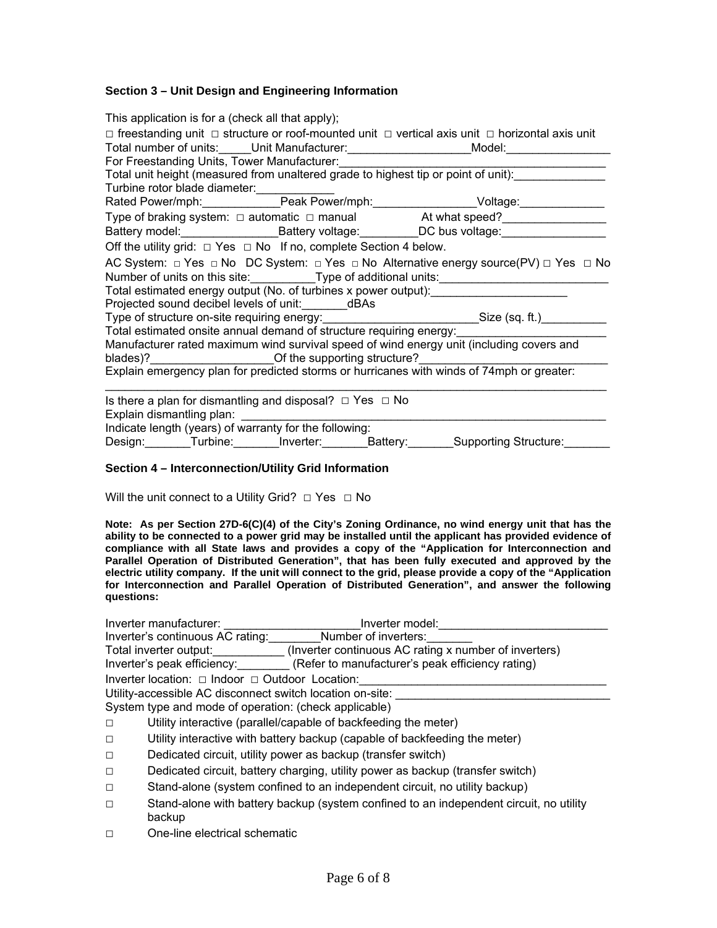#### **Section 3 – Unit Design and Engineering Information**

| This application is for a (check all that apply);                                         |  |                                                                                                                                                                                                                            |  |
|-------------------------------------------------------------------------------------------|--|----------------------------------------------------------------------------------------------------------------------------------------------------------------------------------------------------------------------------|--|
|                                                                                           |  | $\Box$ freestanding unit $\Box$ structure or roof-mounted unit $\Box$ vertical axis unit $\Box$ horizontal axis unit<br>Total number of units:_____Unit Manufacturer:_____________________Model:_______________            |  |
| For Freestanding Units, Tower Manufacturer:                                               |  |                                                                                                                                                                                                                            |  |
| Total unit height (measured from unaltered grade to highest tip or point of unit):        |  |                                                                                                                                                                                                                            |  |
|                                                                                           |  |                                                                                                                                                                                                                            |  |
|                                                                                           |  | Rated Power/mph:__________________Peak Power/mph:____________________Voltage:______________________                                                                                                                        |  |
|                                                                                           |  | Type of braking system: □ automatic □ manual At what speed?<br><u> At what speed?</u>                                                                                                                                      |  |
|                                                                                           |  | Battery model:_______________________Battery voltage:___________DC bus voltage:____________________                                                                                                                        |  |
| Off the utility grid: $\Box$ Yes $\Box$ No If no, complete Section 4 below.               |  |                                                                                                                                                                                                                            |  |
|                                                                                           |  | AC System: $\Box$ Yes $\Box$ No DC System: $\Box$ Yes $\Box$ No Alternative energy source(PV) $\Box$ Yes $\Box$ No<br>Number of units on this site: ____________Type of additional units: ________________________________ |  |
| Total estimated energy output (No. of turbines x power output):                           |  |                                                                                                                                                                                                                            |  |
| Projected sound decibel levels of unit: __________ dBAs                                   |  |                                                                                                                                                                                                                            |  |
|                                                                                           |  | Type of structure on-site requiring energy: Size (sq. ft.) Size (sq. ft.)                                                                                                                                                  |  |
|                                                                                           |  | Total estimated onsite annual demand of structure requiring energy:<br>Total estimated onsite annual demand of structure requiring energy:                                                                                 |  |
|                                                                                           |  | Manufacturer rated maximum wind survival speed of wind energy unit (including covers and                                                                                                                                   |  |
| blades)?_______________________Of the supporting structure?_____________________          |  |                                                                                                                                                                                                                            |  |
| Explain emergency plan for predicted storms or hurricanes with winds of 74mph or greater: |  |                                                                                                                                                                                                                            |  |
| Is there a plan for dismantling and disposal? $\Box$ Yes $\Box$ No                        |  |                                                                                                                                                                                                                            |  |
|                                                                                           |  |                                                                                                                                                                                                                            |  |
| Indicate length (years) of warranty for the following:                                    |  |                                                                                                                                                                                                                            |  |
| Design: Turbine: Inverter: Battery: Supporting Structure:                                 |  |                                                                                                                                                                                                                            |  |

#### **Section 4 – Interconnection/Utility Grid Information**

Will the unit connect to a Utility Grid?  $\Box$  Yes  $\Box$  No

**Note: As per Section 27D-6(C)(4) of the City's Zoning Ordinance, no wind energy unit that has the ability to be connected to a power grid may be installed until the applicant has provided evidence of compliance with all State laws and provides a copy of the "Application for Interconnection and Parallel Operation of Distributed Generation", that has been fully executed and approved by the electric utility company. If the unit will connect to the grid, please provide a copy of the "Application for Interconnection and Parallel Operation of Distributed Generation", and answer the following questions:** 

|        | Inverter manufacturer:<br>Inverter model:                                                        |  |  |
|--------|--------------------------------------------------------------------------------------------------|--|--|
|        | Inverter's continuous AC rating: Number of inverters:                                            |  |  |
|        | Total inverter output: (Inverter continuous AC rating x number of inverters)                     |  |  |
|        | Inverter's peak efficiency: (Refer to manufacturer's peak efficiency rating)                     |  |  |
|        | Inverter location: □ Indoor □ Outdoor Location:                                                  |  |  |
|        | Utility-accessible AC disconnect switch location on-site:                                        |  |  |
|        | System type and mode of operation: (check applicable)                                            |  |  |
| $\Box$ | Utility interactive (parallel/capable of backfeeding the meter)                                  |  |  |
| $\Box$ | Utility interactive with battery backup (capable of backfeeding the meter)                       |  |  |
| $\Box$ | Dedicated circuit, utility power as backup (transfer switch)                                     |  |  |
| $\Box$ | Dedicated circuit, battery charging, utility power as backup (transfer switch)                   |  |  |
| $\Box$ | Stand-alone (system confined to an independent circuit, no utility backup)                       |  |  |
| $\Box$ | Stand-alone with battery backup (system confined to an independent circuit, no utility<br>backup |  |  |
| П      | One-line electrical schematic                                                                    |  |  |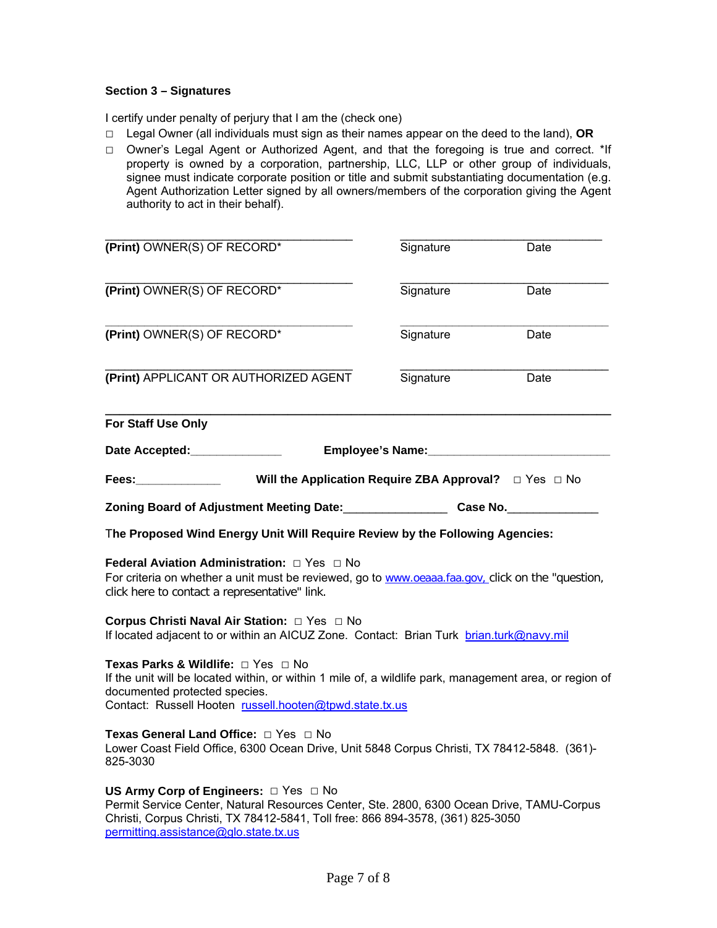#### **Section 3 – Signatures**

I certify under penalty of perjury that I am the (check one)

- □ Legal Owner (all individuals must sign as their names appear on the deed to the land), **OR**
- □ Owner's Legal Agent or Authorized Agent, and that the foregoing is true and correct. \*If property is owned by a corporation, partnership, LLC, LLP or other group of individuals, signee must indicate corporate position or title and submit substantiating documentation (e.g. Agent Authorization Letter signed by all owners/members of the corporation giving the Agent authority to act in their behalf).

| (Print) OWNER(S) OF RECORD*                                                                                                                                                                                                                                              | Signature                                    | Date |
|--------------------------------------------------------------------------------------------------------------------------------------------------------------------------------------------------------------------------------------------------------------------------|----------------------------------------------|------|
| (Print) OWNER(S) OF RECORD*                                                                                                                                                                                                                                              | Signature                                    | Date |
| (Print) OWNER(S) OF RECORD*                                                                                                                                                                                                                                              | Signature                                    | Date |
| (Print) APPLICANT OR AUTHORIZED AGENT                                                                                                                                                                                                                                    | Signature                                    | Date |
| For Staff Use Only                                                                                                                                                                                                                                                       |                                              |      |
| Date Accepted:_______________                                                                                                                                                                                                                                            | Employee's Name:<br><u> Employee's Name:</u> |      |
|                                                                                                                                                                                                                                                                          |                                              |      |
| Zoning Board of Adjustment Meeting Date: Case No. Case No.                                                                                                                                                                                                               |                                              |      |
| The Proposed Wind Energy Unit Will Require Review by the Following Agencies:                                                                                                                                                                                             |                                              |      |
| Federal Aviation Administration: $\Box$ Yes $\Box$ No<br>For criteria on whether a unit must be reviewed, go to www.oeaaa.faa.gov, click on the "question,<br>click here to contact a representative" link.                                                              |                                              |      |
| Corpus Christi Naval Air Station: □ Yes □ No<br>If located adjacent to or within an AICUZ Zone. Contact: Brian Turk brian.turk@navy.mil                                                                                                                                  |                                              |      |
| Texas Parks & Wildlife: □ Yes □ No<br>If the unit will be located within, or within 1 mile of, a wildlife park, management area, or region of<br>documented protected species.<br>Contact: Russell Hooten russell.hooten@tpwd.state.tx.us                                |                                              |      |
| Texas General Land Office: □ Yes □ No<br>Lower Coast Field Office, 6300 Ocean Drive, Unit 5848 Corpus Christi, TX 78412-5848. (361)-<br>825-3030                                                                                                                         |                                              |      |
| US Army Corp of Engineers: $\Box$ Yes $\Box$ No<br>Permit Service Center, Natural Resources Center, Ste. 2800, 6300 Ocean Drive, TAMU-Corpus<br>Christi, Corpus Christi, TX 78412-5841, Toll free: 866 894-3578, (361) 825-3050<br>permitting.assistance@glo.state.tx.us |                                              |      |